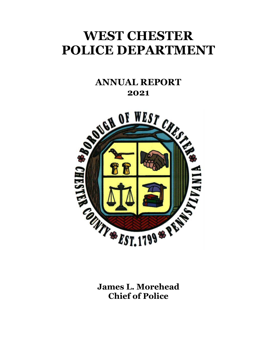# **WEST CHESTER POLICE DEPARTMENT**

### **ANNUAL REPORT 2021**



**James L. Morehead Chief of Police**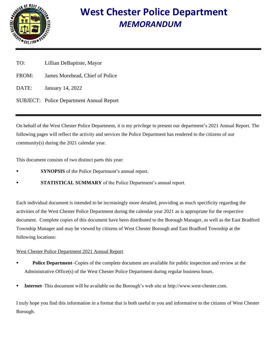

# **West Chester Police Department**  *MEMORANDUM*

- TO: Lillian DeBaptiste, Mayor
- FROM: James Morehead, Chief of Police
- DATE: January 14, 2022
- SUBJECT: Police Department Annual Report

On behalf of the West Chester Police Department, it is my privilege to present our department's 2021 Annual Report. The following pages will reflect the activity and services the Police Department has rendered to the citizens of our community(s) during the 2021 calendar year.

This document consists of two distinct parts this year:

- **SYNOPSIS** of the Police Department's annual report.
- **STATISTICAL SUMMARY** of the Police Department's annual report.

Each individual document is intended to be increasingly more detailed, providing as much specificity regarding the activities of the West Chester Police Department during the calendar year 2021 as is appropriate for the respective document. Complete copies of this document have been distributed to the Borough Manager, as well as the East Bradford Township Manager and may be viewed by citizens of West Chester Borough and East Bradford Township at the following locations:

#### West Chester Police Department 2021 Annual Report

- **Police Department–Copies of the complete document are available for public inspection and review at the** Administrative Office(s) of the West Chester Police Department during regular business hours.
- Internet–This document will be available on the Borough's web site at http://www.west-chester.com.

I truly hope you find this information in a format that is both useful to you and informative to the citizens of West Chester Borough.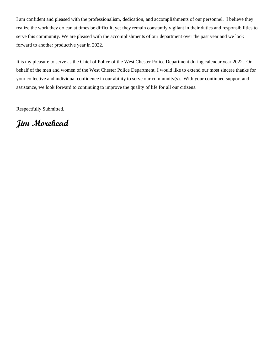I am confident and pleased with the professionalism, dedication, and accomplishments of our personnel. I believe they realize the work they do can at times be difficult, yet they remain constantly vigilant in their duties and responsibilities to serve this community. We are pleased with the accomplishments of our department over the past year and we look forward to another productive year in 2022.

It is my pleasure to serve as the Chief of Police of the West Chester Police Department during calendar year 2022. On behalf of the men and women of the West Chester Police Department, I would like to extend our most sincere thanks for your collective and individual confidence in our ability to serve our community(s). With your continued support and assistance, we look forward to continuing to improve the quality of life for all our citizens.

Respectfully Submitted,

**Jim Morehead**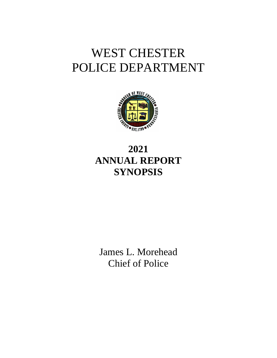# WEST CHESTER POLICE DEPARTMENT



# **2021 ANNUAL REPORT SYNOPSIS**

James L. Morehead Chief of Police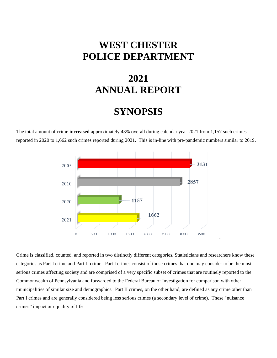## **WEST CHESTER POLICE DEPARTMENT**

# **2021 ANNUAL REPORT**

### **SYNOPSIS**

The total amount of crime **increased** approximately 43% overall during calendar year 2021 from 1,157 such crimes reported in 2020 to 1,662 such crimes reported during 2021. This is in-line with pre-pandemic numbers similar to 2019.



Crime is classified, counted, and reported in two distinctly different categories. Statisticians and researchers know these categories as Part I crime and Part II crime. Part I crimes consist of those crimes that one may consider to be the most serious crimes affecting society and are comprised of a very specific subset of crimes that are routinely reported to the Commonwealth of Pennsylvania and forwarded to the Federal Bureau of Investigation for comparison with other municipalities of similar size and demographics. Part II crimes, on the other hand, are defined as any crime other than Part I crimes and are generally considered being less serious crimes (a secondary level of crime). These "nuisance crimes" impact our quality of life.

-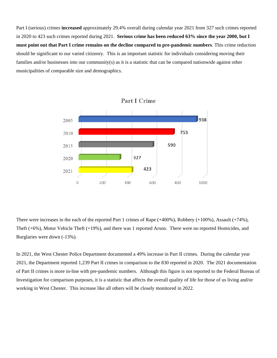Part I (serious) crimes **increased** approximately 29.4% overall during calendar year 2021 from 327 such crimes reported in 2020 to 423 such crimes reported during 2021. **Serious crime has been reduced 63% since the year 2000, but I must point out that Part I crime remains on the decline compared to pre-pandemic numbers**. This crime reduction should be significant to our varied citizenry. This is an important statistic for individuals considering moving their families and/or businesses into our community(s) as it is a statistic that can be compared nationwide against other municipalities of comparable size and demographics.



There were increases in the each of the reported Part 1 crimes of Rape (+400%), Robbery (+100%), Assault (+74%), Theft (+6%), Motor Vehicle Theft (+19%), and there was 1 reported Arson. There were no reported Homicides, and Burglaries were down (-13%).

In 2021, the West Chester Police Department documented a 49% increase in Part II crimes. During the calendar year 2021, the Department reported 1,239 Part II crimes in comparison to the 830 reported in 2020. The 2021 documentation of Part II crimes is more in-line with pre-pandemic numbers. Although this figure is not reported to the Federal Bureau of Investigation for comparison purposes, it is a statistic that affects the overall quality of life for those of us living and/or working in West Chester. This increase like all others will be closely monitored in 2022.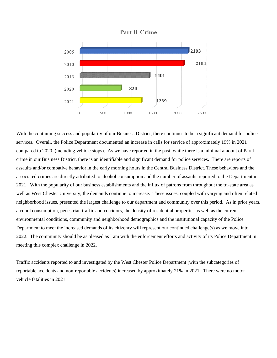



With the continuing success and popularity of our Business District, there continues to be a significant demand for police services. Overall, the Police Department documented an increase in calls for service of approximately 19% in 2021 compared to 2020, (including vehicle stops). As we have reported in the past, while there is a minimal amount of Part I crime in our Business District, there is an identifiable and significant demand for police services. There are reports of assaults and/or combative behavior in the early morning hours in the Central Business District. These behaviors and the associated crimes are directly attributed to alcohol consumption and the number of assaults reported to the Department in 2021. With the popularity of our business establishments and the influx of patrons from throughout the tri-state area as well as West Chester University, the demands continue to increase. These issues, coupled with varying and often related neighborhood issues, presented the largest challenge to our department and community over this period. As in prior years, alcohol consumption, pedestrian traffic and corridors, the density of residential properties as well as the current environmental conditions, community and neighborhood demographics and the institutional capacity of the Police Department to meet the increased demands of its citizenry will represent our continued challenge(s) as we move into 2022. The community should be as pleased as I am with the enforcement efforts and activity of its Police Department in meeting this complex challenge in 2022.

Traffic accidents reported to and investigated by the West Chester Police Department (with the subcategories of reportable accidents and non-reportable accidents) increased by approximately 21% in 2021. There were no motor vehicle fatalities in 2021.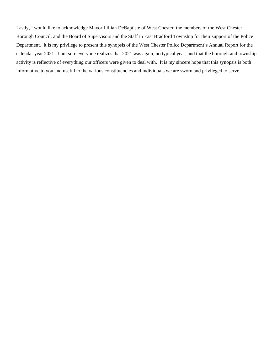Lastly, I would like to acknowledge Mayor Lillian DeBaptiste of West Chester, the members of the West Chester Borough Council, and the Board of Supervisors and the Staff in East Bradford Township for their support of the Police Department. It is my privilege to present this synopsis of the West Chester Police Department's Annual Report for the calendar year 2021. I am sure everyone realizes that 2021 was again, no typical year, and that the borough and township activity is reflective of everything our officers were given to deal with. It is my sincere hope that this synopsis is both informative to you and useful to the various constituencies and individuals we are sworn and privileged to serve.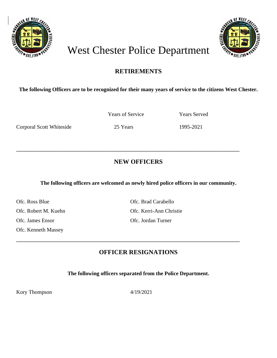



# West Chester Police Department

#### **RETIREMENTS**

#### **The following Officers are to be recognized for their many years of service to the citizens West Chester.**

Corporal Scott Whiteside 25 Years 1995-2021

Years of Service Years Served

\_\_\_\_\_\_\_\_\_\_\_\_\_\_\_\_\_\_\_\_\_\_\_\_\_\_\_\_\_\_\_\_\_\_\_\_\_\_\_\_\_\_\_\_\_\_\_\_\_\_\_\_\_\_\_\_\_\_\_\_\_\_\_\_\_\_\_\_\_\_\_\_\_\_

#### **NEW OFFICERS**

**The following officers are welcomed as newly hired police officers in our community.**

Ofc. Ross Blue Ofc. Brad Carabello Ofc. James Ensor Ofc. Jordan Turner Ofc. Kenneth Massey

Ofc. Robert M. Kuehn Ofc. Kerri-Ann Christie

#### **OFFICER RESIGNATIONS**

\_\_\_\_\_\_\_\_\_\_\_\_\_\_\_\_\_\_\_\_\_\_\_\_\_\_\_\_\_\_\_\_\_\_\_\_\_\_\_\_\_\_\_\_\_\_\_\_\_\_\_\_\_\_\_\_\_\_\_\_\_\_\_\_\_\_\_\_\_\_\_\_\_\_

**The following officers separated from the Police Department.**

Kory Thompson 4/19/2021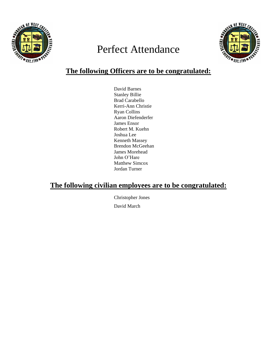

# Perfect Attendance



### **The following Officers are to be congratulated:**

David Barnes Stanley Billie Brad Carabello Kerri-Ann Christie Ryan Collins Aaron Diefenderfer James Ensor Robert M. Kuehn Joshua Lee Kenneth Massey Brendon McGeehan James Morehead John O'Hare Matthew Simcox Jordan Turner

#### **The following civilian employees are to be congratulated:**

Christopher Jones David March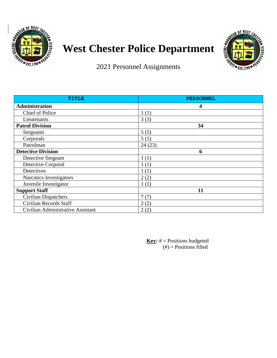

# **West Chester Police Department**



2021 Personnel Assignments

| TITLE                             | <b>PERSONNEL</b> |
|-----------------------------------|------------------|
| <b>Administration</b>             | 4                |
| <b>Chief of Police</b>            | 1(1)             |
| Lieutenants                       | 3(3)             |
| <b>Patrol Division</b>            | 34               |
| Sergeants                         | 5(5)             |
| Corporals                         | 5(5)             |
| Patrolman                         | 24(23)           |
| <b>Detective Division</b>         | 6                |
| Detective Sergeant                | 1(1)             |
| Detective Corporal                | 1(1)             |
| Detectives                        | 1(1)             |
| Narcotics Investigators           | 2(2)             |
| Juvenile Investigator             | 1(1)             |
| <b>Support Staff</b>              | 11               |
| <b>Civilian Dispatchers</b>       | 7(7)             |
| Civilian Records Staff            | 2(2)             |
| Civilian Administrative Assistant | 2(2)             |

**Key:** # = Positions budgeted  $(\#)$  = Positions filled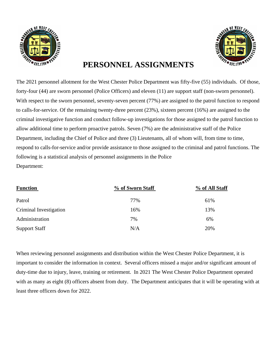



### **PERSONNEL ASSIGNMENTS**

The 2021 personnel allotment for the West Chester Police Department was fifty-five (55) individuals. Of those, forty-four (44) are sworn personnel (Police Officers) and eleven (11) are support staff (non-sworn personnel). With respect to the sworn personnel, seventy-seven percent (77%) are assigned to the patrol function to respond to calls-for-service. Of the remaining twenty-three percent (23%), sixteen percent (16%) are assigned to the criminal investigative function and conduct follow-up investigations for those assigned to the patrol function to allow additional time to perform proactive patrols. Seven (7%) are the administrative staff of the Police Department, including the Chief of Police and three (3) Lieutenants, all of whom will, from time to time, respond to calls-for-service and/or provide assistance to those assigned to the criminal and patrol functions. The following is a statistical analysis of personnel assignments in the Police Department:

| <b>Function</b>        | % of Sworn Staff | % of All Staff |
|------------------------|------------------|----------------|
| Patrol                 | 77%              | 61%            |
| Criminal Investigation | 16%              | 13%            |
| Administration         | 7%               | 6%             |
| <b>Support Staff</b>   | N/A              | 20%            |

When reviewing personnel assignments and distribution within the West Chester Police Department, it is important to consider the information in context. Several officers missed a major and/or significant amount of duty-time due to injury, leave, training or retirement. In 2021 The West Chester Police Department operated with as many as eight (8) officers absent from duty. The Department anticipates that it will be operating with at least three officers down for 2022.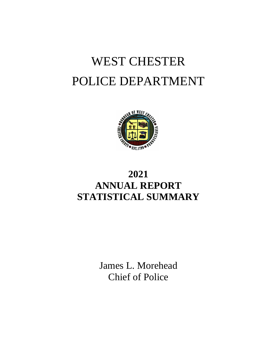# WEST CHESTER POLICE DEPARTMENT



# **2021 ANNUAL REPORT STATISTICAL SUMMARY**

James L. Morehead Chief of Police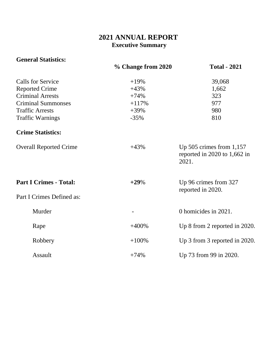### **2021 ANNUAL REPORT Executive Summary**

| <b>General Statistics:</b>    |                    |                                                                         |
|-------------------------------|--------------------|-------------------------------------------------------------------------|
|                               | % Change from 2020 | <b>Total - 2021</b>                                                     |
| <b>Calls for Service</b>      | $+19%$             | 39,068                                                                  |
| <b>Reported Crime</b>         | $+43%$             | 1,662                                                                   |
| <b>Criminal Arrests</b>       | $+74%$             | 323                                                                     |
| <b>Criminal Summonses</b>     | $+117%$            | 977                                                                     |
| <b>Traffic Arrests</b>        | $+39%$             | 980                                                                     |
| <b>Traffic Warnings</b>       | $-35%$             | 810                                                                     |
| <b>Crime Statistics:</b>      |                    |                                                                         |
| <b>Overall Reported Crime</b> | $+43%$             | Up $505$ crimes from $1,157$<br>reported in 2020 to $1,662$ in<br>2021. |
| <b>Part I Crimes - Total:</b> | $+29%$             | Up 96 crimes from 327<br>reported in 2020.                              |
| Part I Crimes Defined as:     |                    |                                                                         |
| Murder                        | $\overline{a}$     | 0 homicides in 2021.                                                    |
| Rape                          | $+400%$            | Up 8 from 2 reported in 2020.                                           |
| Robbery                       | $+100%$            | Up 3 from 3 reported in 2020.                                           |
| Assault                       | $+74%$             | Up 73 from 99 in 2020.                                                  |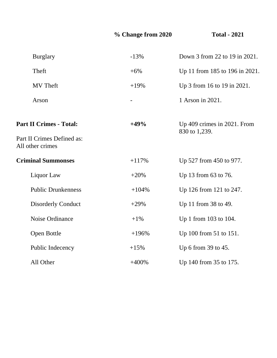### **% Change from 2020 Total - 2021**

| <b>Burglary</b>                                                                  | $-13%$            | Down 3 from 22 to 19 in 2021.                |
|----------------------------------------------------------------------------------|-------------------|----------------------------------------------|
| Theft                                                                            | $+6%$             | Up 11 from 185 to 196 in 2021.               |
| <b>MV</b> Theft                                                                  | $+19%$            | Up 3 from 16 to 19 in 2021.                  |
| Arson                                                                            | $\qquad \qquad -$ | 1 Arson in 2021.                             |
| <b>Part II Crimes - Total:</b><br>Part II Crimes Defined as:<br>All other crimes | $+49%$            | Up 409 crimes in 2021. From<br>830 to 1,239. |
| <b>Criminal Summonses</b>                                                        | $+117%$           | Up 527 from 450 to 977.                      |
| Liquor Law                                                                       | $+20%$            | Up 13 from 63 to 76.                         |
| <b>Public Drunkenness</b>                                                        | $+104%$           | Up 126 from 121 to 247.                      |
| <b>Disorderly Conduct</b>                                                        | $+29%$            | Up 11 from 38 to 49.                         |
| Noise Ordinance                                                                  | $+1\%$            | Up 1 from 103 to 104.                        |
| Open Bottle                                                                      | $+196%$           | Up 100 from 51 to 151.                       |
| Public Indecency                                                                 | $+15%$            | Up 6 from 39 to 45.                          |
| All Other                                                                        | $+400%$           | Up 140 from 35 to 175.                       |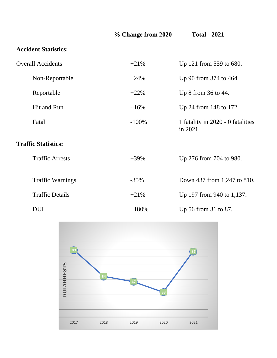|                             | % Change from 2020 | <b>Total - 2021</b>                           |
|-----------------------------|--------------------|-----------------------------------------------|
| <b>Accident Statistics:</b> |                    |                                               |
| <b>Overall Accidents</b>    | $+21%$             | Up 121 from 559 to 680.                       |
| Non-Reportable              | $+24%$             | Up 90 from 374 to 464.                        |
| Reportable                  | $+22%$             | Up 8 from 36 to 44.                           |
| Hit and Run                 | $+16%$             | Up 24 from 148 to 172.                        |
| Fatal                       | $-100%$            | 1 fatality in 2020 - 0 fatalities<br>in 2021. |
| <b>Traffic Statistics:</b>  |                    |                                               |
| <b>Traffic Arrests</b>      | $+39%$             | Up 276 from 704 to 980.                       |
| <b>Traffic Warnings</b>     | $-35%$             | Down 437 from 1,247 to 810.                   |
| <b>Traffic Details</b>      | $+21%$             | Up 197 from 940 to 1,137.                     |
| <b>DUI</b>                  | $+180%$            | Up 56 from 31 to 87.                          |

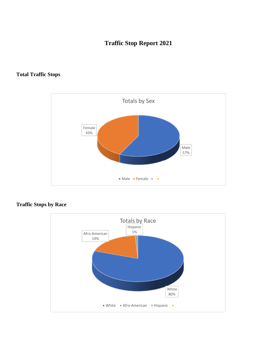#### **Traffic Stop Report 2021**

#### **Total Traffic Stops**



#### **Traffic Stops by Race**